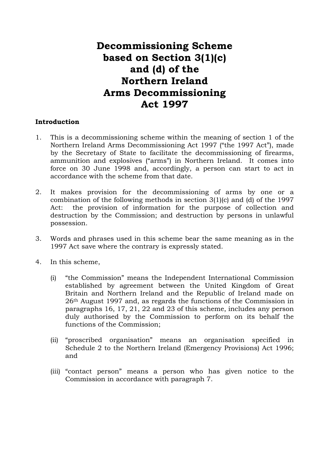# **Decommissioning Scheme based on Section 3(1)(c) and (d) of the Northern Ireland Arms Decommissioning Act 1997**

#### **Introduction**

- 1. This is a decommissioning scheme within the meaning of section 1 of the Northern Ireland Arms Decommissioning Act 1997 ("the 1997 Act"), made by the Secretary of State to facilitate the decommissioning of firearms, ammunition and explosives ("arms") in Northern Ireland. It comes into force on 30 June 1998 and, accordingly, a person can start to act in accordance with the scheme from that date.
- 2. It makes provision for the decommissioning of arms by one or a combination of the following methods in section 3(1)(c) and (d) of the 1997 Act: the provision of information for the purpose of collection and destruction by the Commission; and destruction by persons in unlawful possession.
- 3. Words and phrases used in this scheme bear the same meaning as in the 1997 Act save where the contrary is expressly stated.
- 4. In this scheme,
	- (i) "the Commission" means the Independent International Commission established by agreement between the United Kingdom of Great Britain and Northern Ireland and the Republic of Ireland made on 26th August 1997 and, as regards the functions of the Commission in paragraphs 16, 17, 21, 22 and 23 of this scheme, includes any person duly authorised by the Commission to perform on its behalf the functions of the Commission;
	- (ii) "proscribed organisation" means an organisation specified in Schedule 2 to the Northern Ireland (Emergency Provisions) Act 1996; and
	- (iii) "contact person" means a person who has given notice to the Commission in accordance with paragraph 7.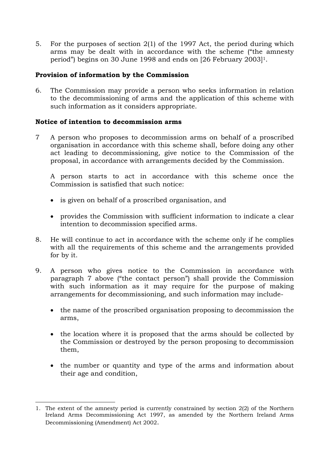5. For the purposes of section 2(1) of the 1997 Act, the period during which arms may be dealt with in accordance with the scheme ("the amnesty period") begins on 30 June 1998 and ends on [26 February 2003]<sup>1</sup>.

### **Provision of information by the Commission**

6. The Commission may provide a person who seeks information in relation to the decommissioning of arms and the application of this scheme with such information as it considers appropriate.

# **Notice of intention to decommission arms**

7 A person who proposes to decommission arms on behalf of a proscribed organisation in accordance with this scheme shall, before doing any other act leading to decommissioning, give notice to the Commission of the proposal, in accordance with arrangements decided by the Commission.

A person starts to act in accordance with this scheme once the Commission is satisfied that such notice:

- is given on behalf of a proscribed organisation, and
- provides the Commission with sufficient information to indicate a clear intention to decommission specified arms.
- 8. He will continue to act in accordance with the scheme only if he complies with all the requirements of this scheme and the arrangements provided for by it.
- 9. A person who gives notice to the Commission in accordance with paragraph 7 above ("the contact person") shall provide the Commission with such information as it may require for the purpose of making arrangements for decommissioning, and such information may include-
	- the name of the proscribed organisation proposing to decommission the arms,
	- the location where it is proposed that the arms should be collected by the Commission or destroyed by the person proposing to decommission them,
	- the number or quantity and type of the arms and information about their age and condition,

 $\overline{a}$ 1. The extent of the amnesty period is currently constrained by section 2(2) of the Northern Ireland Arms Decommissioning Act 1997, as amended by the Northern Ireland Arms Decommissioning (Amendment) Act 2002.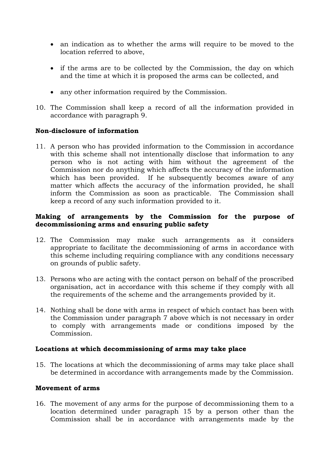- an indication as to whether the arms will require to be moved to the location referred to above,
- if the arms are to be collected by the Commission, the day on which and the time at which it is proposed the arms can be collected, and
- any other information required by the Commission.
- 10. The Commission shall keep a record of all the information provided in accordance with paragraph 9.

#### **Non-disclosure of information**

11. A person who has provided information to the Commission in accordance with this scheme shall not intentionally disclose that information to any person who is not acting with him without the agreement of the Commission nor do anything which affects the accuracy of the information which has been provided. If he subsequently becomes aware of any matter which affects the accuracy of the information provided, he shall inform the Commission as soon as practicable. The Commission shall keep a record of any such information provided to it.

### **Making of arrangements by the Commission for the purpose of decommissioning arms and ensuring public safety**

- 12. The Commission may make such arrangements as it considers appropriate to facilitate the decommissioning of arms in accordance with this scheme including requiring compliance with any conditions necessary on grounds of public safety.
- 13. Persons who are acting with the contact person on behalf of the proscribed organisation, act in accordance with this scheme if they comply with all the requirements of the scheme and the arrangements provided by it.
- 14. Nothing shall be done with arms in respect of which contact has been with the Commission under paragraph 7 above which is not necessary in order to comply with arrangements made or conditions imposed by the Commission.

#### **Locations at which decommissioning of arms may take place**

15. The locations at which the decommissioning of arms may take place shall be determined in accordance with arrangements made by the Commission.

### **Movement of arms**

16. The movement of any arms for the purpose of decommissioning them to a location determined under paragraph 15 by a person other than the Commission shall be in accordance with arrangements made by the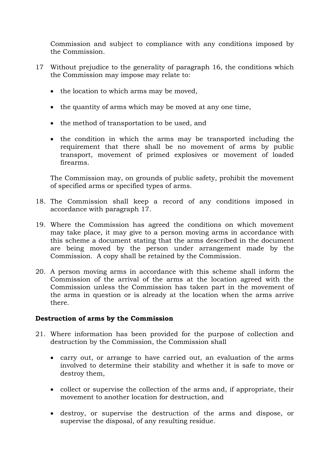Commission and subject to compliance with any conditions imposed by the Commission.

- 17 Without prejudice to the generality of paragraph 16, the conditions which the Commission may impose may relate to:
	- the location to which arms may be moved,
	- the quantity of arms which may be moved at any one time,
	- the method of transportation to be used, and
	- the condition in which the arms may be transported including the requirement that there shall be no movement of arms by public transport, movement of primed explosives or movement of loaded firearms.

The Commission may, on grounds of public safety, prohibit the movement of specified arms or specified types of arms.

- 18. The Commission shall keep a record of any conditions imposed in accordance with paragraph 17.
- 19. Where the Commission has agreed the conditions on which movement may take place, it may give to a person moving arms in accordance with this scheme a document stating that the arms described in the document are being moved by the person under arrangement made by the Commission. A copy shall be retained by the Commission.
- 20. A person moving arms in accordance with this scheme shall inform the Commission of the arrival of the arms at the location agreed with the Commission unless the Commission has taken part in the movement of the arms in question or is already at the location when the arms arrive there.

#### **Destruction of arms by the Commission**

- 21. Where information has been provided for the purpose of collection and destruction by the Commission, the Commission shall
	- carry out, or arrange to have carried out, an evaluation of the arms involved to determine their stability and whether it is safe to move or destroy them,
	- collect or supervise the collection of the arms and, if appropriate, their movement to another location for destruction, and
	- destroy, or supervise the destruction of the arms and dispose, or supervise the disposal, of any resulting residue.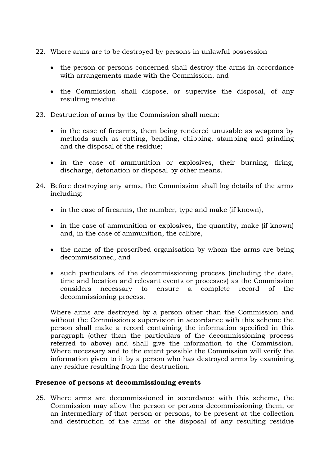- 22. Where arms are to be destroyed by persons in unlawful possession
	- the person or persons concerned shall destroy the arms in accordance with arrangements made with the Commission, and
	- the Commission shall dispose, or supervise the disposal, of any resulting residue.
- 23. Destruction of arms by the Commission shall mean:
	- in the case of firearms, them being rendered unusable as weapons by methods such as cutting, bending, chipping, stamping and grinding and the disposal of the residue;
	- in the case of ammunition or explosives, their burning, firing, discharge, detonation or disposal by other means.
- 24. Before destroying any arms, the Commission shall log details of the arms including:
	- in the case of firearms, the number, type and make (if known),
	- in the case of ammunition or explosives, the quantity, make (if known) and, in the case of ammunition, the calibre,
	- the name of the proscribed organisation by whom the arms are being decommissioned, and
	- such particulars of the decommissioning process (including the date, time and location and relevant events or processes) as the Commission considers necessary to ensure a complete record of the decommissioning process.

Where arms are destroyed by a person other than the Commission and without the Commission's supervision in accordance with this scheme the person shall make a record containing the information specified in this paragraph (other than the particulars of the decommissioning process referred to above) and shall give the information to the Commission. Where necessary and to the extent possible the Commission will verify the information given to it by a person who has destroyed arms by examining any residue resulting from the destruction.

#### **Presence of persons at decommissioning events**

25. Where arms are decommissioned in accordance with this scheme, the Commission may allow the person or persons decommissioning them, or an intermediary of that person or persons, to be present at the collection and destruction of the arms or the disposal of any resulting residue